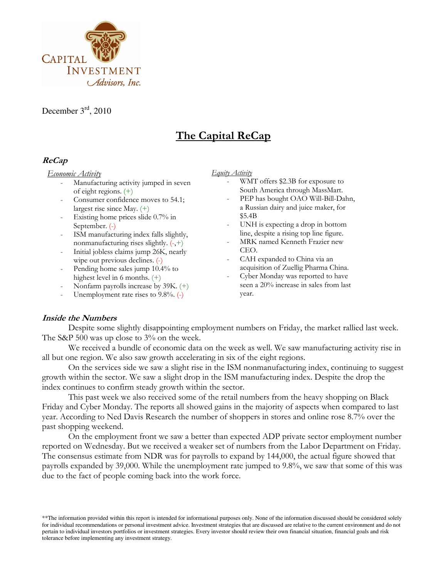

December  $3<sup>rd</sup>$ , 2010

# The Capital ReCap

## ReCap

#### Economic Activity

- Manufacturing activity jumped in seven of eight regions. (+)
- Consumer confidence moves to 54.1; largest rise since May. (+)
- Existing home prices slide 0.7% in September. (-)
- ISM manufacturing index falls slightly, nonmanufacturing rises slightly. (-,+)
- Initial jobless claims jump 26K, nearly wipe out previous declines. (-)
- Pending home sales jump 10.4% to highest level in 6 months. (+)
- Nonfarm payrolls increase by 39K. (+)
- Unemployment rate rises to  $9.8\%$ .  $(-)$
- Equity Activity
	- WMT offers \$2.3B for exposure to South America through MassMart.
	- PEP has bought OAO Will-Bill-Dahn, a Russian dairy and juice maker, for \$5.4B
	- UNH is expecting a drop in bottom line, despite a rising top line figure.
	- MRK named Kenneth Frazier new CEO.
	- CAH expanded to China via an acquisition of Zuellig Pharma China.
	- Cyber Monday was reported to have seen a 20% increase in sales from last year.

### Inside the Numbers

Despite some slightly disappointing employment numbers on Friday, the market rallied last week. The S&P 500 was up close to 3% on the week.

We received a bundle of economic data on the week as well. We saw manufacturing activity rise in all but one region. We also saw growth accelerating in six of the eight regions.

On the services side we saw a slight rise in the ISM nonmanufacturing index, continuing to suggest growth within the sector. We saw a slight drop in the ISM manufacturing index. Despite the drop the index continues to confirm steady growth within the sector.

This past week we also received some of the retail numbers from the heavy shopping on Black Friday and Cyber Monday. The reports all showed gains in the majority of aspects when compared to last year. According to Ned Davis Research the number of shoppers in stores and online rose 8.7% over the past shopping weekend.

On the employment front we saw a better than expected ADP private sector employment number reported on Wednesday. But we received a weaker set of numbers from the Labor Department on Friday. The consensus estimate from NDR was for payrolls to expand by 144,000, the actual figure showed that payrolls expanded by 39,000. While the unemployment rate jumped to 9.8%, we saw that some of this was due to the fact of people coming back into the work force.

\*\*The information provided within this report is intended for informational purposes only. None of the information discussed should be considered solely for individual recommendations or personal investment advice. Investment strategies that are discussed are relative to the current environment and do not pertain to individual investors portfolios or investment strategies. Every investor should review their own financial situation, financial goals and risk tolerance before implementing any investment strategy.